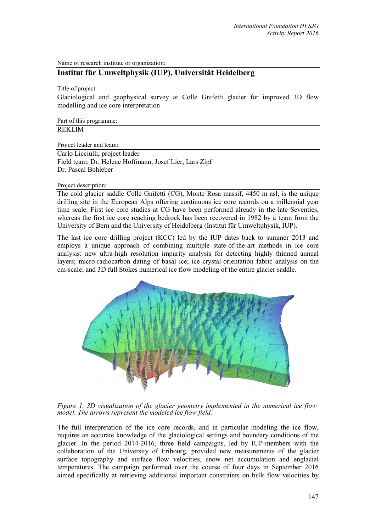Name of research institute or organization:

## **Institut für Umweltphysik (IUP), Universität Heidelberg**

Title of project:

Glaciological and geophysical survey at Colle Gnifetti glacier for improved 3D flow modelling and ice core interpretation

Part of this programme: REKLIM

Project leader and team:

Carlo Licciulli, project leader Field team: Dr. Helene Hoffmann, Josef Lier, Lars Zipf Dr. Pascal Bohleber

Project description:

The cold glacier saddle Colle Gnifetti (CG), Monte Rosa massif, 4450 m asl, is the unique drilling site in the European Alps offering continuous ice core records on a millennial year time scale. First ice core studies at CG have been performed already in the late Seventies, whereas the first ice core reaching bedrock has been recovered in 1982 by a team from the University of Bern and the University of Heidelberg (Institut für Umweltphysik, IUP).

The last ice core drilling project (KCC) led by the IUP dates back to summer 2013 and employs a unique approach of combining multiple state-of-the-art methods in ice core analysis: new ultra-high resolution impurity analysis for detecting highly thinned annual layers; micro-radiocarbon dating of basal ice; ice crystal-orientation fabric analysis on the cm-scale; and 3D full Stokes numerical ice flow modeling of the entire glacier saddle.



*Figure 1. 3D visualization of the glacier geometry implemented in the numerical ice flow model. The arrows represent the modeled ice flow field.* 

The full interpretation of the ice core records, and in particular modeling the ice flow, requires an accurate knowledge of the glaciological settings and boundary conditions of the glacier. In the period 2014-2016, three field campaigns, led by IUP-members with the collaboration of the University of Fribourg, provided new measurements of the glacier surface topography and surface flow velocities, snow net accumulation and englacial temperatures. The campaign performed over the course of four days in September 2016 aimed specifically at retrieving additional important constraints on bulk flow velocities by